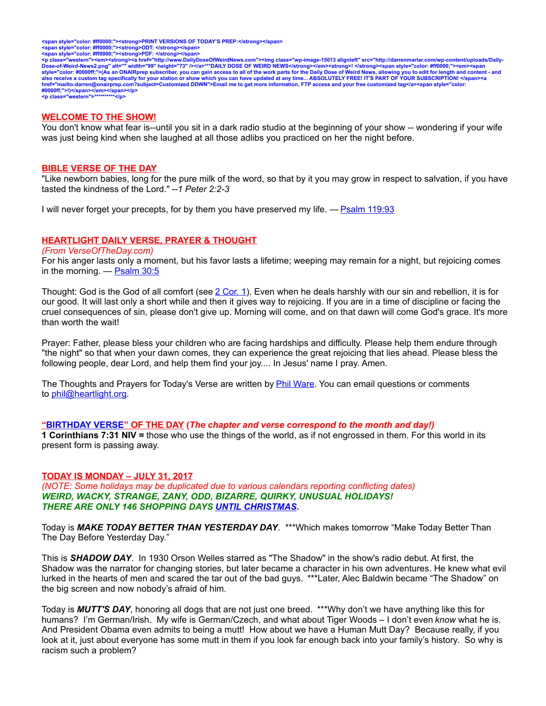<span style="color: #ff0000;"><strong>PRINT VERSIONS OF TODAY'S PREP:</strong></span><br><span style="color: #ff0000;"><strong>ODT: </strong></span><br><span style="color: #ff0000;"><strong>PDF: </strong></span>

<p class="western"><em><strong><a href="http://www.DailyDoseOfWeirdNews.com"><img class="wp-image-15013 alignleft" src="http://darrenmarlar.com/wp-content/uploads/Daily-<br>Dose-of-Weird-News2.png" alt="" width="99" height=" **#0000ff;">!)</span></em></span></p> <p class="western">\*\*\*\*\*\*\*\*\*\*</p>**

#### **WELCOME TO THE SHOW!**

You don't know what fear is--until you sit in a dark radio studio at the beginning of your show -- wondering if your wife was just being kind when she laughed at all those adlibs you practiced on her the night before.

#### **BIBLE VERSE OF THE DAY**

"Like newborn babies, long for the pure milk of the word, so that by it you may grow in respect to salvation, if you have tasted the kindness of the Lord." *--1 Peter 2:2-3*

I will never forget your precepts, for by them you have preserved my life. — [Psalm 119:93](http://www.biblestudytools.com/search/?query=Psalm+119:93&t=niv)

# **HEARTLIGHT DAILY VERSE, PRAYER & THOUGHT**

#### *(From VerseOfTheDay.com)*

For his anger lasts only a moment, but his favor lasts a lifetime; weeping may remain for a night, but rejoicing comes in the morning. — [Psalm 30:5](http://bible.faithlife.com/bible/niv/Psalm30.5)

Thought: God is the God of all comfort (see [2 Cor. 1\)](http://bible.faithlife.com/bible/niv/2Cor.1). Even when he deals harshly with our sin and rebellion, it is for our good. It will last only a short while and then it gives way to rejoicing. If you are in a time of discipline or facing the cruel consequences of sin, please don't give up. Morning will come, and on that dawn will come God's grace. It's more than worth the wait!

Prayer: Father, please bless your children who are facing hardships and difficulty. Please help them endure through "the night" so that when your dawn comes, they can experience the great rejoicing that lies ahead. Please bless the following people, dear Lord, and help them find your joy.... In Jesus' name I pray. Amen.

The Thoughts and Prayers for Today's Verse are written by **Phil Ware**. You can email questions or comments to [phil@heartlight.org.](mailto:phil@heartlight.org)

#### **["BIRTHDAY VERSE"](http://67.59.170.133/) OF THE DAY (***The chapter and verse correspond to the month and day!)*

**1 Corinthians 7:31 NIV =** those who use the things of the world, as if not engrossed in them. For this world in its present form is passing away.

#### **TODAY IS MONDAY – JULY 31, 2017**

*(NOTE: Some holidays may be duplicated due to various calendars reporting conflicting dates) WEIRD, WACKY, STRANGE, ZANY, ODD, BIZARRE, QUIRKY, UNUSUAL HOLIDAYS! THERE ARE ONLY 146 SHOPPING DAYS [UNTIL CHRISTMAS.](http://days.to/until/christmas)*

Today is *MAKE TODAY BETTER THAN YESTERDAY DAY*. \*\*\*Which makes tomorrow "Make Today Better Than The Day Before Yesterday Day."

This is *SHADOW DAY*. In 1930 Orson Welles starred as "The Shadow" in the show's radio debut. At first, the Shadow was the narrator for changing stories, but later became a character in his own adventures. He knew what evil lurked in the hearts of men and scared the tar out of the bad guys. \*\*\*Later, Alec Baldwin became "The Shadow" on the big screen and now nobody's afraid of him.

Today is *MUTT'S DAY*, honoring all dogs that are not just one breed. \*\*\*Why don't we have anything like this for humans? I'm German/Irish. My wife is German/Czech, and what about Tiger Woods – I don't even *know* what he is. And President Obama even admits to being a mutt! How about we have a Human Mutt Day? Because really, if you look at it, just about everyone has some mutt in them if you look far enough back into your family's history. So why is racism such a problem?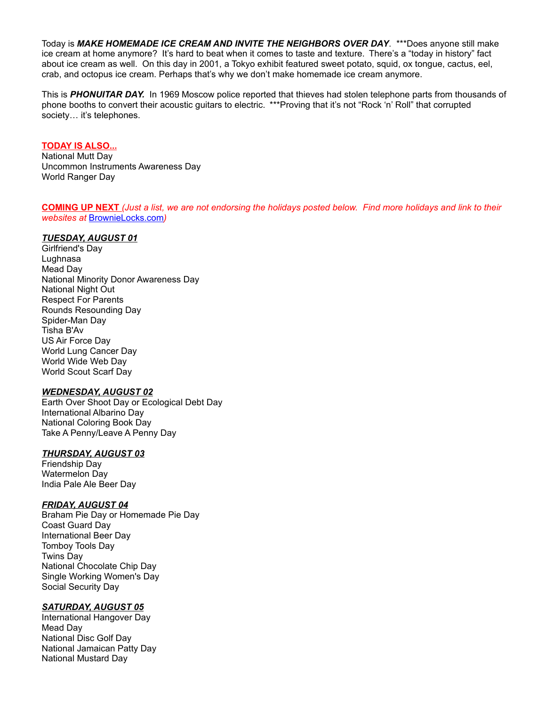Today is *MAKE HOMEMADE ICE CREAM AND INVITE THE NEIGHBORS OVER DAY*. \*\*\*Does anyone still make ice cream at home anymore? It's hard to beat when it comes to taste and texture. There's a "today in history" fact about ice cream as well. On this day in 2001, a Tokyo exhibit featured sweet potato, squid, ox tongue, cactus, eel, crab, and octopus ice cream. Perhaps that's why we don't make homemade ice cream anymore.

This is *PHONUITAR DAY.* In 1969 Moscow police reported that thieves had stolen telephone parts from thousands of phone booths to convert their acoustic guitars to electric. \*\*\*Proving that it's not "Rock 'n' Roll" that corrupted society... it's telephones.

#### **TODAY IS ALSO...**

National Mutt Day Uncommon Instruments Awareness Day World Ranger Day

**COMING UP NEXT** *(Just a list, we are not endorsing the holidays posted below. Find more holidays and link to their websites at* [BrownieLocks.com](https://www.brownielocks.com/month2.html)*)*

# *TUESDAY, AUGUST 01*

Girlfriend's Day Lughnasa Mead Day National Minority Donor Awareness Day National Night Out Respect For Parents Rounds Resounding Day Spider-Man Day Tisha B'Av US Air Force Day World Lung Cancer Day World Wide Web Day World Scout Scarf Day

#### *WEDNESDAY, AUGUST 02*

Earth Over Shoot Day or Ecological Debt Day International Albarino Day National Coloring Book Day Take A Penny/Leave A Penny Day

# *THURSDAY, AUGUST 03*

Friendship Day Watermelon Day India Pale Ale Beer Day

# *FRIDAY, AUGUST 04*

Braham Pie Day or Homemade Pie Day Coast Guard Day International Beer Day Tomboy Tools Day Twins Day National Chocolate Chip Day Single Working Women's Day Social Security Day

# *SATURDAY, AUGUST 05*

International Hangover Day Mead Day National Disc Golf Day National Jamaican Patty Day National Mustard Day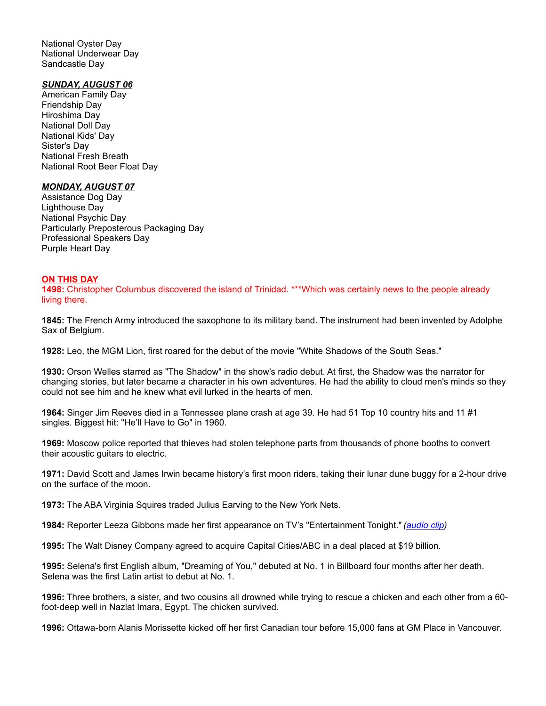National Oyster Day National Underwear Day Sandcastle Day

### *SUNDAY, AUGUST 06*

American Family Day Friendship Day Hiroshima Day National Doll Day National Kids' Day Sister's Day National Fresh Breath National Root Beer Float Day

#### *MONDAY, AUGUST 07*

Assistance Dog Day Lighthouse Day National Psychic Day Particularly Preposterous Packaging Day Professional Speakers Day Purple Heart Day

### **ON THIS DAY**

**1498:** Christopher Columbus discovered the island of Trinidad. \*\*\*Which was certainly news to the people already living there.

**1845:** The French Army introduced the saxophone to its military band. The instrument had been invented by Adolphe Sax of Belgium.

**1928:** Leo, the MGM Lion, first roared for the debut of the movie "White Shadows of the South Seas."

**1930:** Orson Welles starred as "The Shadow" in the show's radio debut. At first, the Shadow was the narrator for changing stories, but later became a character in his own adventures. He had the ability to cloud men's minds so they could not see him and he knew what evil lurked in the hearts of men.

**1964:** Singer Jim Reeves died in a Tennessee plane crash at age 39. He had 51 Top 10 country hits and 11 #1 singles. Biggest hit: "He'll Have to Go" in 1960.

**1969:** Moscow police reported that thieves had stolen telephone parts from thousands of phone booths to convert their acoustic guitars to electric.

**1971:** David Scott and James Irwin became history's first moon riders, taking their lunar dune buggy for a 2-hour drive on the surface of the moon.

**1973:** The ABA Virginia Squires traded Julius Earving to the New York Nets.

**1984:** Reporter Leeza Gibbons made her first appearance on TV's "Entertainment Tonight." *[\(audio clip\)](http://www.darrenmarlar.com/audio/TV-EntertainmentTonight.mp3)*

**1995:** The Walt Disney Company agreed to acquire Capital Cities/ABC in a deal placed at \$19 billion.

**1995:** Selena's first English album, "Dreaming of You," debuted at No. 1 in Billboard four months after her death. Selena was the first Latin artist to debut at No. 1.

**1996:** Three brothers, a sister, and two cousins all drowned while trying to rescue a chicken and each other from a 60 foot-deep well in Nazlat Imara, Egypt. The chicken survived.

**1996:** Ottawa-born Alanis Morissette kicked off her first Canadian tour before 15,000 fans at GM Place in Vancouver.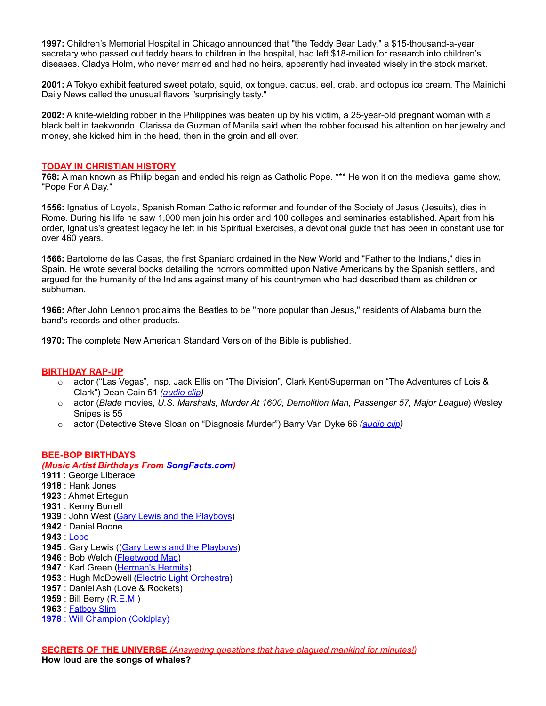**1997:** Children's Memorial Hospital in Chicago announced that "the Teddy Bear Lady," a \$15-thousand-a-year secretary who passed out teddy bears to children in the hospital, had left \$18-million for research into children's diseases. Gladys Holm, who never married and had no heirs, apparently had invested wisely in the stock market.

**2001:** A Tokyo exhibit featured sweet potato, squid, ox tongue, cactus, eel, crab, and octopus ice cream. The Mainichi Daily News called the unusual flavors "surprisingly tasty."

**2002:** A knife-wielding robber in the Philippines was beaten up by his victim, a 25-year-old pregnant woman with a black belt in taekwondo. Clarissa de Guzman of Manila said when the robber focused his attention on her jewelry and money, she kicked him in the head, then in the groin and all over.

# **TODAY IN CHRISTIAN HISTORY**

**768:** A man known as Philip began and ended his reign as Catholic Pope. \*\*\* He won it on the medieval game show, "Pope For A Day."

**1556:** Ignatius of Loyola, Spanish Roman Catholic reformer and founder of the Society of Jesus (Jesuits), dies in Rome. During his life he saw 1,000 men join his order and 100 colleges and seminaries established. Apart from his order, Ignatius's greatest legacy he left in his Spiritual Exercises, a devotional guide that has been in constant use for over 460 years.

**1566:** Bartolome de las Casas, the first Spaniard ordained in the New World and "Father to the Indians," dies in Spain. He wrote several books detailing the horrors committed upon Native Americans by the Spanish settlers, and argued for the humanity of the Indians against many of his countrymen who had described them as children or subhuman.

**1966:** After John Lennon proclaims the Beatles to be "more popular than Jesus," residents of Alabama burn the band's records and other products.

**1970:** The complete New American Standard Version of the Bible is published.

#### **BIRTHDAY RAP-UP**

- o actor ("Las Vegas", Insp. Jack Ellis on "The Division", Clark Kent/Superman on "The Adventures of Lois & Clark") Dean Cain 51 *[\(audio clip\)](http://www.darrenmarlar.com/audio/TV-LoisAndClark.mp3)*
- o actor (*Blade* movies, *U.S. Marshalls, Murder At 1600, Demolition Man, Passenger 57, Major League*) Wesley Snipes is 55
- o actor (Detective Steve Sloan on "Diagnosis Murder") Barry Van Dyke 66 *[\(audio clip\)](http://www.darrenmarlar.com/audio/TV-DiagnosisMurder.mp3)*

#### **BEE-BOP BIRTHDAYS**

# *(Music Artist Birthdays From [SongFacts.com\)](http://calendar.songfacts.com/)* **1911** : George Liberace **1918** : Hank Jones **1923** : Ahmet Ertegun **1931** : Kenny Burrell **1939** : John West [\(Gary Lewis and the Playboys\)](http://www.songfacts.com/search_fact.php?combinedartists=Gary+Lewis+and+the+Playboys) **1942** : Daniel Boone **1943** : [Lobo](http://www.songfacts.com/artist:lobo.php) **1945** : Gary Lewis ((**Gary Lewis and the Playboys**) **1946** : Bob Welch [\(Fleetwood Mac\)](http://www.artistfacts.com/detail.php?id=210) 1947 : Karl Green [\(Herman's Hermits\)](http://www.songfacts.com/search_fact.php?combinedartists=herman) **1953** : Hugh McDowell [\(Electric Light Orchestra\)](http://www.artistfacts.com/detail.php?id=75) **1957** : Daniel Ash (Love & Rockets) **1959** : Bill Berry [\(R.E.M.\)](http://www.artistfacts.com/detail.php?id=137) **1963** : [Fatboy Slim](http://www.songfacts.com/artist:fatboy_slim.php)

**1978** : Will Champion [\(Coldplay\)](http://www.artistfacts.com/detail.php?id=67)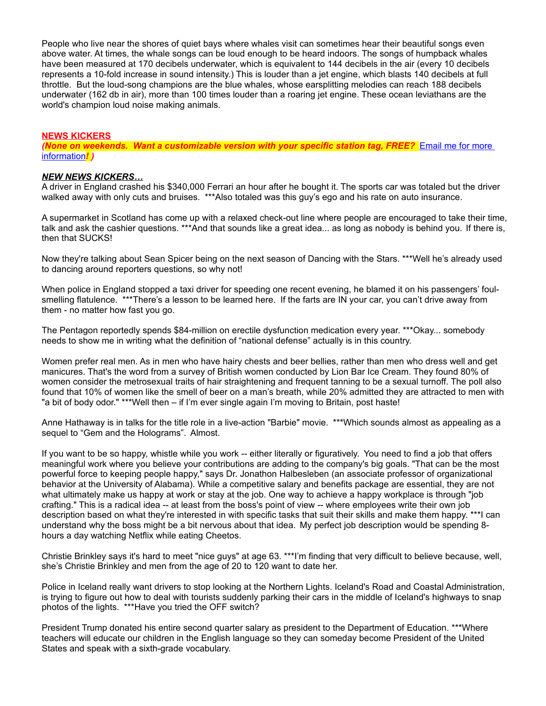People who live near the shores of quiet bays where whales visit can sometimes hear their beautiful songs even above water. At times, the whale songs can be loud enough to be heard indoors. The songs of humpback whales have been measured at 170 decibels underwater, which is equivalent to 144 decibels in the air (every 10 decibels represents a 10-fold increase in sound intensity.) This is louder than a jet engine, which blasts 140 decibels at full throttle. But the loud-song champions are the blue whales, whose earsplitting melodies can reach 188 decibels underwater (162 db in air), more than 100 times louder than a roaring jet engine. These ocean leviathans are the world's champion loud noise making animals.

# **NEWS KICKERS**

**(None on weekends. Want a customizable version with your specific station tag, FREE?** Email me for more [information](mailto:darren@onairprep.com?subject=Customized%20DDWN)*! )*

# *NEW NEWS KICKERS…*

A driver in England crashed his \$340,000 Ferrari an hour after he bought it. The sports car was totaled but the driver walked away with only cuts and bruises. \*\*\*Also totaled was this guy's ego and his rate on auto insurance.

A supermarket in Scotland has come up with a relaxed check-out line where people are encouraged to take their time, talk and ask the cashier questions. \*\*\*And that sounds like a great idea... as long as nobody is behind you. If there is, then that SUCKS!

Now they're talking about Sean Spicer being on the next season of Dancing with the Stars. \*\*\*Well he's already used to dancing around reporters questions, so why not!

When police in England stopped a taxi driver for speeding one recent evening, he blamed it on his passengers' foulsmelling flatulence. \*\*\*There's a lesson to be learned here. If the farts are IN your car, you can't drive away from them - no matter how fast you go.

The Pentagon reportedly spends \$84-million on erectile dysfunction medication every year. \*\*\*Okay... somebody needs to show me in writing what the definition of "national defense" actually is in this country.

Women prefer real men. As in men who have hairy chests and beer bellies, rather than men who dress well and get manicures. That's the word from a survey of British women conducted by Lion Bar Ice Cream. They found 80% of women consider the metrosexual traits of hair straightening and frequent tanning to be a sexual turnoff. The poll also found that 10% of women like the smell of beer on a man's breath, while 20% admitted they are attracted to men with "a bit of body odor." \*\*\*Well then – if I'm ever single again I'm moving to Britain, post haste!

Anne Hathaway is in talks for the title role in a live-action "Barbie" movie. \*\*\*Which sounds almost as appealing as a sequel to "Gem and the Holograms". Almost.

If you want to be so happy, whistle while you work -- either literally or figuratively. You need to find a job that offers meaningful work where you believe your contributions are adding to the company's big goals. "That can be the most powerful force to keeping people happy," says Dr. Jonathon Halbesleben (an associate professor of organizational behavior at the University of Alabama). While a competitive salary and benefits package are essential, they are not what ultimately make us happy at work or stay at the job. One way to achieve a happy workplace is through "job crafting." This is a radical idea -- at least from the boss's point of view -- where employees write their own job description based on what they're interested in with specific tasks that suit their skills and make them happy. \*\*\*I can understand why the boss might be a bit nervous about that idea. My perfect job description would be spending 8 hours a day watching Netflix while eating Cheetos.

Christie Brinkley says it's hard to meet "nice guys" at age 63. \*\*\*I'm finding that very difficult to believe because, well, she's Christie Brinkley and men from the age of 20 to 120 want to date her.

Police in Iceland really want drivers to stop looking at the Northern Lights. Iceland's Road and Coastal Administration, is trying to figure out how to deal with tourists suddenly parking their cars in the middle of Iceland's highways to snap photos of the lights. \*\*\*Have you tried the OFF switch?

President Trump donated his entire second quarter salary as president to the Department of Education. \*\*\*Where teachers will educate our children in the English language so they can someday become President of the United States and speak with a sixth-grade vocabulary.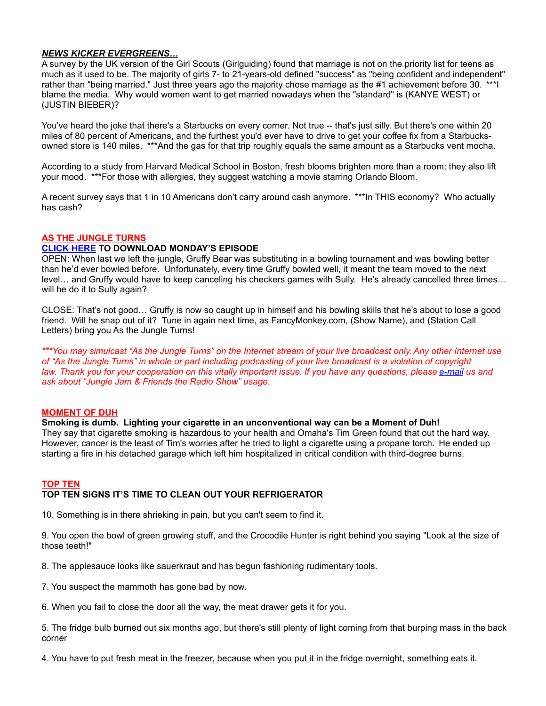# *NEWS KICKER EVERGREENS…*

A survey by the UK version of the Girl Scouts (Girlguiding) found that marriage is not on the priority list for teens as much as it used to be. The majority of girls 7- to 21-years-old defined "success" as "being confident and independent" rather than "being married." Just three years ago the majority chose marriage as the #1 achievement before 30. \*\*\*I blame the media. Why would women want to get married nowadays when the "standard" is (KANYE WEST) or (JUSTIN BIEBER)?

You've heard the joke that there's a Starbucks on every corner. Not true -- that's just silly. But there's one within 20 miles of 80 percent of Americans, and the furthest you'd ever have to drive to get your coffee fix from a Starbucksowned store is 140 miles. \*\*\*And the gas for that trip roughly equals the same amount as a Starbucks vent mocha.

According to a study from Harvard Medical School in Boston, fresh blooms brighten more than a room; they also lift your mood. \*\*\*For those with allergies, they suggest watching a movie starring Orlando Bloom.

A recent survey says that 1 in 10 Americans don't carry around cash anymore. \*\*\*In THIS economy? Who actually has cash?

# **AS THE JUNGLE TURNS**

# **[CLICK HERE](http://www.darrenmarlar.com/audio/AsTheJungleTurns/MMJJ0123.mp3) TO DOWNLOAD MONDAY'S EPISODE**

OPEN: When last we left the jungle, Gruffy Bear was substituting in a bowling tournament and was bowling better than he'd ever bowled before. Unfortunately, every time Gruffy bowled well, it meant the team moved to the next level… and Gruffy would have to keep canceling his checkers games with Sully. He's already cancelled three times… will he do it to Sully again?

CLOSE: That's not good… Gruffy is now so caught up in himself and his bowling skills that he's about to lose a good friend. Will he snap out of it? Tune in again next time, as FancyMonkey.com, (Show Name), and (Station Call Letters) bring you As the Jungle Turns!

*\*\*\*You may simulcast "As the Jungle Turns" on the Internet stream of your live broadcast only. Any other Internet use of "As the Jungle Turns" in whole or part including podcasting of your live broadcast is a violation of copyright law. Thank you for your cooperation on this vitally important issue. If you have any questions, please [e-mail](mailto:radio@fancymonkey.com?subject=Internet%20Use) us and ask about "Jungle Jam & Friends the Radio Show" usage.*

# **MOMENT OF DUH**

# **Smoking is dumb. Lighting your cigarette in an unconventional way can be a Moment of Duh!**

They say that cigarette smoking is hazardous to your health and Omaha's Tim Green found that out the hard way. However, cancer is the least of Tim's worries after he tried to light a cigarette using a propane torch. He ended up starting a fire in his detached garage which left him hospitalized in critical condition with third-degree burns.

#### **TOP TEN TOP TEN SIGNS IT'S TIME TO CLEAN OUT YOUR REFRIGERATOR**

10. Something is in there shrieking in pain, but you can't seem to find it.

9. You open the bowl of green growing stuff, and the Crocodile Hunter is right behind you saying "Look at the size of those teeth!"

8. The applesauce looks like sauerkraut and has begun fashioning rudimentary tools.

7. You suspect the mammoth has gone bad by now.

6. When you fail to close the door all the way, the meat drawer gets it for you.

5. The fridge bulb burned out six months ago, but there's still plenty of light coming from that burping mass in the back corner

4. You have to put fresh meat in the freezer, because when you put it in the fridge overnight, something eats it.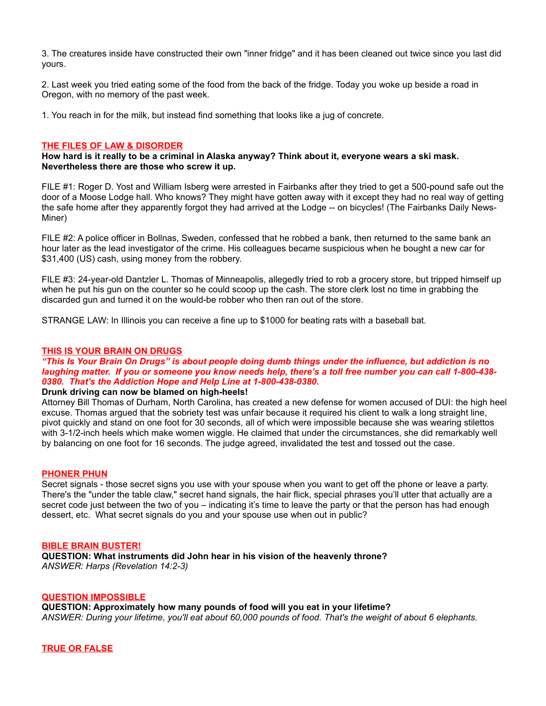3. The creatures inside have constructed their own "inner fridge" and it has been cleaned out twice since you last did yours.

2. Last week you tried eating some of the food from the back of the fridge. Today you woke up beside a road in Oregon, with no memory of the past week.

1. You reach in for the milk, but instead find something that looks like a jug of concrete.

#### **THE FILES OF LAW & DISORDER**

**How hard is it really to be a criminal in Alaska anyway? Think about it, everyone wears a ski mask. Nevertheless there are those who screw it up.**

FILE #1: Roger D. Yost and William Isberg were arrested in Fairbanks after they tried to get a 500-pound safe out the door of a Moose Lodge hall. Who knows? They might have gotten away with it except they had no real way of getting the safe home after they apparently forgot they had arrived at the Lodge -- on bicycles! (The Fairbanks Daily News-Miner)

FILE #2: A police officer in Bollnas, Sweden, confessed that he robbed a bank, then returned to the same bank an hour later as the lead investigator of the crime. His colleagues became suspicious when he bought a new car for \$31,400 (US) cash, using money from the robbery.

FILE #3: 24-year-old Dantzler L. Thomas of Minneapolis, allegedly tried to rob a grocery store, but tripped himself up when he put his gun on the counter so he could scoop up the cash. The store clerk lost no time in grabbing the discarded gun and turned it on the would-be robber who then ran out of the store.

STRANGE LAW: In Illinois you can receive a fine up to \$1000 for beating rats with a baseball bat.

### **THIS IS YOUR BRAIN ON DRUGS**

*"This Is Your Brain On Drugs" is about people doing dumb things under the influence, but addiction is no laughing matter. If you or someone you know needs help, there's a toll free number you can call 1-800-438- 0380. That's the Addiction Hope and Help Line at 1-800-438-0380.*

# **Drunk driving can now be blamed on high-heels!**

Attorney Bill Thomas of Durham, North Carolina, has created a new defense for women accused of DUI: the high heel excuse. Thomas argued that the sobriety test was unfair because it required his client to walk a long straight line, pivot quickly and stand on one foot for 30 seconds, all of which were impossible because she was wearing stilettos with 3-1/2-inch heels which make women wiggle. He claimed that under the circumstances, she did remarkably well by balancing on one foot for 16 seconds. The judge agreed, invalidated the test and tossed out the case.

#### **PHONER PHUN**

Secret signals - those secret signs you use with your spouse when you want to get off the phone or leave a party. There's the "under the table claw," secret hand signals, the hair flick, special phrases you'll utter that actually are a secret code just between the two of you – indicating it's time to leave the party or that the person has had enough dessert, etc. What secret signals do you and your spouse use when out in public?

#### **BIBLE BRAIN BUSTER!**

**QUESTION: What instruments did John hear in his vision of the heavenly throne?**  *ANSWER: Harps (Revelation 14:2-3)*

#### **QUESTION IMPOSSIBLE**

**QUESTION: Approximately how many pounds of food will you eat in your lifetime?** *ANSWER: During your lifetime, you'll eat about 60,000 pounds of food. That's the weight of about 6 elephants.*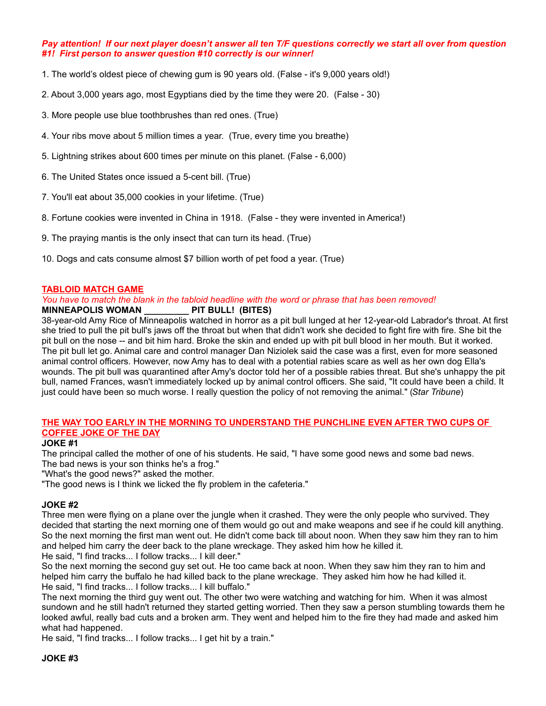# *Pay attention! If our next player doesn't answer all ten T/F questions correctly we start all over from question #1! First person to answer question #10 correctly is our winner!*

- 1. The world's oldest piece of chewing gum is 90 years old. (False it's 9,000 years old!)
- 2. About 3,000 years ago, most Egyptians died by the time they were 20. (False 30)
- 3. More people use blue toothbrushes than red ones. (True)
- 4. Your ribs move about 5 million times a year. (True, every time you breathe)
- 5. Lightning strikes about 600 times per minute on this planet. (False 6,000)
- 6. The United States once issued a 5-cent bill. (True)
- 7. You'll eat about 35,000 cookies in your lifetime. (True)
- 8. Fortune cookies were invented in China in 1918. (False they were invented in America!)
- 9. The praying mantis is the only insect that can turn its head. (True)
- 10. Dogs and cats consume almost \$7 billion worth of pet food a year. (True)

# **TABLOID MATCH GAME**

### *You have to match the blank in the tabloid headline with the word or phrase that has been removed!* **MINNEAPOLIS WOMAN \_\_\_\_\_\_\_\_\_ PIT BULL! (BITES)**

38-year-old Amy Rice of Minneapolis watched in horror as a pit bull lunged at her 12-year-old Labrador's throat. At first she tried to pull the pit bull's jaws off the throat but when that didn't work she decided to fight fire with fire. She bit the pit bull on the nose -- and bit him hard. Broke the skin and ended up with pit bull blood in her mouth. But it worked. The pit bull let go. Animal care and control manager Dan Niziolek said the case was a first, even for more seasoned animal control officers. However, now Amy has to deal with a potential rabies scare as well as her own dog Ella's wounds. The pit bull was quarantined after Amy's doctor told her of a possible rabies threat. But she's unhappy the pit bull, named Frances, wasn't immediately locked up by animal control officers. She said, "It could have been a child. It just could have been so much worse. I really question the policy of not removing the animal." (*Star Tribune*)

# **THE WAY TOO EARLY IN THE MORNING TO UNDERSTAND THE PUNCHLINE EVEN AFTER TWO CUPS OF COFFEE JOKE OF THE DAY**

# **JOKE #1**

The principal called the mother of one of his students. He said, "I have some good news and some bad news. The bad news is your son thinks he's a frog."

"What's the good news?" asked the mother.

"The good news is I think we licked the fly problem in the cafeteria."

# **JOKE #2**

Three men were flying on a plane over the jungle when it crashed. They were the only people who survived. They decided that starting the next morning one of them would go out and make weapons and see if he could kill anything. So the next morning the first man went out. He didn't come back till about noon. When they saw him they ran to him and helped him carry the deer back to the plane wreckage. They asked him how he killed it. He said, "I find tracks... I follow tracks... I kill deer."

So the next morning the second guy set out. He too came back at noon. When they saw him they ran to him and helped him carry the buffalo he had killed back to the plane wreckage. They asked him how he had killed it. He said, "I find tracks... I follow tracks... I kill buffalo."

The next morning the third guy went out. The other two were watching and watching for him. When it was almost sundown and he still hadn't returned they started getting worried. Then they saw a person stumbling towards them he looked awful, really bad cuts and a broken arm. They went and helped him to the fire they had made and asked him what had happened.

He said, "I find tracks... I follow tracks... I get hit by a train."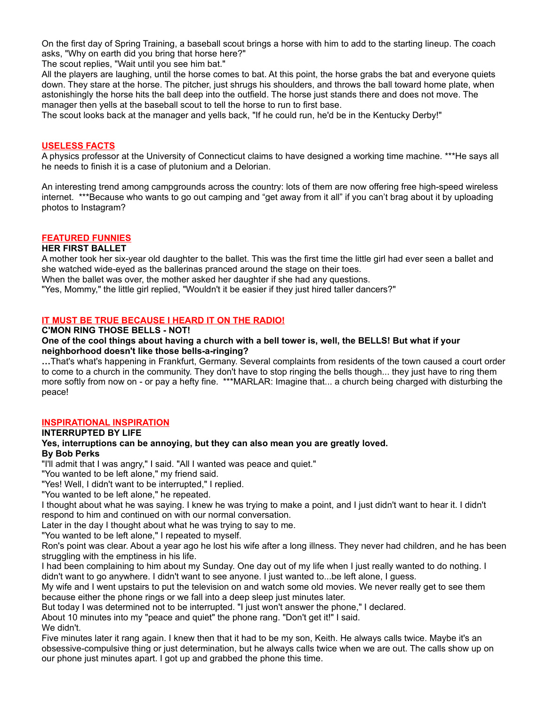On the first day of Spring Training, a baseball scout brings a horse with him to add to the starting lineup. The coach asks, "Why on earth did you bring that horse here?"

The scout replies, "Wait until you see him bat."

All the players are laughing, until the horse comes to bat. At this point, the horse grabs the bat and everyone quiets down. They stare at the horse. The pitcher, just shrugs his shoulders, and throws the ball toward home plate, when astonishingly the horse hits the ball deep into the outfield. The horse just stands there and does not move. The manager then yells at the baseball scout to tell the horse to run to first base.

The scout looks back at the manager and yells back, "If he could run, he'd be in the Kentucky Derby!"

### **USELESS FACTS**

A physics professor at the University of Connecticut claims to have designed a working time machine. \*\*\*He says all he needs to finish it is a case of plutonium and a Delorian.

An interesting trend among campgrounds across the country: lots of them are now offering free high-speed wireless internet. \*\*\*Because who wants to go out camping and "get away from it all" if you can't brag about it by uploading photos to Instagram?

# **FEATURED FUNNIES**

# **HER FIRST BALLET**

A mother took her six-year old daughter to the ballet. This was the first time the little girl had ever seen a ballet and she watched wide-eyed as the ballerinas pranced around the stage on their toes.

When the ballet was over, the mother asked her daughter if she had any questions.

"Yes, Mommy," the little girl replied, "Wouldn't it be easier if they just hired taller dancers?"

# **IT MUST BE TRUE BECAUSE I HEARD IT ON THE RADIO!**

### **C'MON RING THOSE BELLS - NOT!**

### **One of the cool things about having a church with a bell tower is, well, the BELLS! But what if your neighborhood doesn't like those bells-a-ringing?**

**…**That's what's happening in Frankfurt, Germany. Several complaints from residents of the town caused a court order to come to a church in the community. They don't have to stop ringing the bells though... they just have to ring them more softly from now on - or pay a hefty fine. \*\*\*MARLAR: Imagine that... a church being charged with disturbing the peace!

# **INSPIRATIONAL INSPIRATION**

# **INTERRUPTED BY LIFE**

# **Yes, interruptions can be annoying, but they can also mean you are greatly loved. By Bob Perks**

"I'll admit that I was angry," I said. "All I wanted was peace and quiet."

"You wanted to be left alone," my friend said.

"Yes! Well, I didn't want to be interrupted," I replied.

"You wanted to be left alone," he repeated.

I thought about what he was saying. I knew he was trying to make a point, and I just didn't want to hear it. I didn't respond to him and continued on with our normal conversation.

Later in the day I thought about what he was trying to say to me.

"You wanted to be left alone," I repeated to myself.

Ron's point was clear. About a year ago he lost his wife after a long illness. They never had children, and he has been struggling with the emptiness in his life.

I had been complaining to him about my Sunday. One day out of my life when I just really wanted to do nothing. I didn't want to go anywhere. I didn't want to see anyone. I just wanted to...be left alone, I guess.

My wife and I went upstairs to put the television on and watch some old movies. We never really get to see them because either the phone rings or we fall into a deep sleep just minutes later.

But today I was determined not to be interrupted. "I just won't answer the phone," I declared.

About 10 minutes into my "peace and quiet" the phone rang. "Don't get it!" I said.

We didn't.

Five minutes later it rang again. I knew then that it had to be my son, Keith. He always calls twice. Maybe it's an obsessive-compulsive thing or just determination, but he always calls twice when we are out. The calls show up on our phone just minutes apart. I got up and grabbed the phone this time.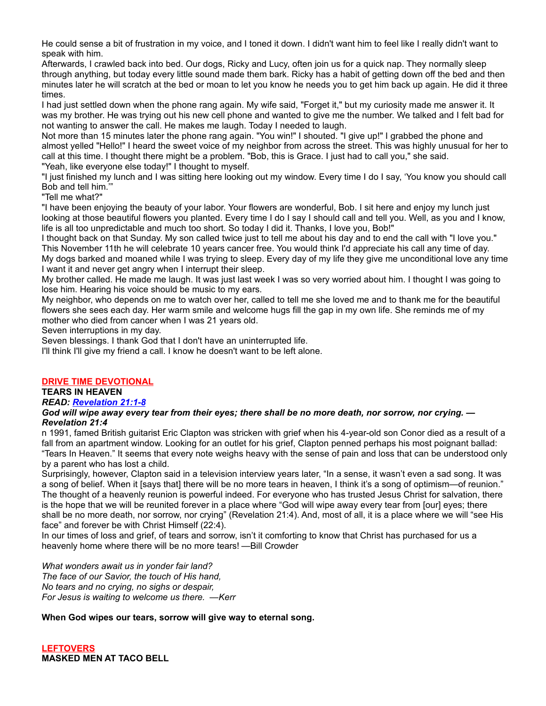He could sense a bit of frustration in my voice, and I toned it down. I didn't want him to feel like I really didn't want to speak with him.

Afterwards, I crawled back into bed. Our dogs, Ricky and Lucy, often join us for a quick nap. They normally sleep through anything, but today every little sound made them bark. Ricky has a habit of getting down off the bed and then minutes later he will scratch at the bed or moan to let you know he needs you to get him back up again. He did it three times.

I had just settled down when the phone rang again. My wife said, "Forget it," but my curiosity made me answer it. It was my brother. He was trying out his new cell phone and wanted to give me the number. We talked and I felt bad for not wanting to answer the call. He makes me laugh. Today I needed to laugh.

Not more than 15 minutes later the phone rang again. "You win!" I shouted. "I give up!" I grabbed the phone and almost yelled "Hello!" I heard the sweet voice of my neighbor from across the street. This was highly unusual for her to call at this time. I thought there might be a problem. "Bob, this is Grace. I just had to call you," she said.

"Yeah, like everyone else today!" I thought to myself.

"I just finished my lunch and I was sitting here looking out my window. Every time I do I say, 'You know you should call Bob and tell him.'"

"Tell me what?"

"I have been enjoying the beauty of your labor. Your flowers are wonderful, Bob. I sit here and enjoy my lunch just looking at those beautiful flowers you planted. Every time I do I say I should call and tell you. Well, as you and I know, life is all too unpredictable and much too short. So today I did it. Thanks, I love you, Bob!"

I thought back on that Sunday. My son called twice just to tell me about his day and to end the call with "I love you." This November 11th he will celebrate 10 years cancer free. You would think I'd appreciate his call any time of day. My dogs barked and moaned while I was trying to sleep. Every day of my life they give me unconditional love any time I want it and never get angry when I interrupt their sleep.

My brother called. He made me laugh. It was just last week I was so very worried about him. I thought I was going to lose him. Hearing his voice should be music to my ears.

My neighbor, who depends on me to watch over her, called to tell me she loved me and to thank me for the beautiful flowers she sees each day. Her warm smile and welcome hugs fill the gap in my own life. She reminds me of my mother who died from cancer when I was 21 years old.

Seven interruptions in my day.

Seven blessings. I thank God that I don't have an uninterrupted life.

I'll think I'll give my friend a call. I know he doesn't want to be left alone.

# **DRIVE TIME DEVOTIONAL**

**TEARS IN HEAVEN**

# *READ: [Revelation 21:1-8](http://bible.gospelcom.net/bible?language=english&version=NIV&passage=Revelation+21%3A1-8)*

*God will wipe away every tear from their eyes; there shall be no more death, nor sorrow, nor crying. — Revelation 21:4*

n 1991, famed British guitarist Eric Clapton was stricken with grief when his 4-year-old son Conor died as a result of a fall from an apartment window. Looking for an outlet for his grief, Clapton penned perhaps his most poignant ballad: "Tears In Heaven." It seems that every note weighs heavy with the sense of pain and loss that can be understood only by a parent who has lost a child.

Surprisingly, however, Clapton said in a television interview years later, "In a sense, it wasn't even a sad song. It was a song of belief. When it [says that] there will be no more tears in heaven, I think it's a song of optimism—of reunion." The thought of a heavenly reunion is powerful indeed. For everyone who has trusted Jesus Christ for salvation, there is the hope that we will be reunited forever in a place where "God will wipe away every tear from [our] eyes; there shall be no more death, nor sorrow, nor crying" (Revelation 21:4). And, most of all, it is a place where we will "see His face" and forever be with Christ Himself (22:4).

In our times of loss and grief, of tears and sorrow, isn't it comforting to know that Christ has purchased for us a heavenly home where there will be no more tears! —Bill Crowder

*What wonders await us in yonder fair land? The face of our Savior, the touch of His hand, No tears and no crying, no sighs or despair, For Jesus is waiting to welcome us there. —Kerr*

# **When God wipes our tears, sorrow will give way to eternal song.**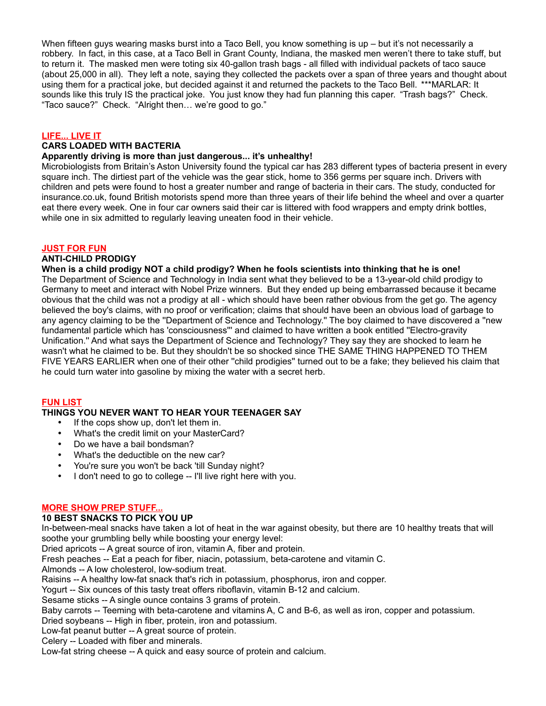When fifteen guys wearing masks burst into a Taco Bell, you know something is up – but it's not necessarily a robbery. In fact, in this case, at a Taco Bell in Grant County, Indiana, the masked men weren't there to take stuff, but to return it. The masked men were toting six 40-gallon trash bags - all filled with individual packets of taco sauce (about 25,000 in all). They left a note, saying they collected the packets over a span of three years and thought about using them for a practical joke, but decided against it and returned the packets to the Taco Bell. \*\*\*MARLAR: It sounds like this truly IS the practical joke. You just know they had fun planning this caper. "Trash bags?" Check. "Taco sauce?" Check. "Alright then… we're good to go."

# **LIFE... LIVE IT**

### **CARS LOADED WITH BACTERIA**

#### **Apparently driving is more than just dangerous... it's unhealthy!**

Microbiologists from Britain's Aston University found the typical car has 283 different types of bacteria present in every square inch. The dirtiest part of the vehicle was the gear stick, home to 356 germs per square inch. Drivers with children and pets were found to host a greater number and range of bacteria in their cars. The study, conducted for insurance.co.uk, found British motorists spend more than three years of their life behind the wheel and over a quarter eat there every week. One in four car owners said their car is littered with food wrappers and empty drink bottles, while one in six admitted to regularly leaving uneaten food in their vehicle.

### **JUST FOR FUN**

### **ANTI-CHILD PRODIGY**

**When is a child prodigy NOT a child prodigy? When he fools scientists into thinking that he is one!** The Department of Science and Technology in India sent what they believed to be a 13-year-old child prodigy to Germany to meet and interact with Nobel Prize winners. But they ended up being embarrassed because it became obvious that the child was not a prodigy at all - which should have been rather obvious from the get go. The agency believed the boy's claims, with no proof or verification; claims that should have been an obvious load of garbage to any agency claiming to be the ''Department of Science and Technology.'' The boy claimed to have discovered a ''new fundamental particle which has 'consciousness''' and claimed to have written a book entitled ''Electro-gravity Unification.'' And what says the Department of Science and Technology? They say they are shocked to learn he wasn't what he claimed to be. But they shouldn't be so shocked since THE SAME THING HAPPENED TO THEM FIVE YEARS EARLIER when one of their other ''child prodigies'' turned out to be a fake; they believed his claim that he could turn water into gasoline by mixing the water with a secret herb.

# **FUN LIST**

# **THINGS YOU NEVER WANT TO HEAR YOUR TEENAGER SAY**

- If the cops show up, don't let them in.
- What's the credit limit on your MasterCard?
- Do we have a bail bondsman?
- What's the deductible on the new car?
- You're sure you won't be back 'till Sunday night?<br>• I don't need to go to college I'll live right here w
- I don't need to go to college -- I'll live right here with you.

# **MORE SHOW PREP STUFF...**

# **10 BEST SNACKS TO PICK YOU UP**

In-between-meal snacks have taken a lot of heat in the war against obesity, but there are 10 healthy treats that will soothe your grumbling belly while boosting your energy level:

Dried apricots -- A great source of iron, vitamin A, fiber and protein.

Fresh peaches -- Eat a peach for fiber, niacin, potassium, beta-carotene and vitamin C.

Almonds -- A low cholesterol, low-sodium treat.

Raisins -- A healthy low-fat snack that's rich in potassium, phosphorus, iron and copper.

Yogurt -- Six ounces of this tasty treat offers riboflavin, vitamin B-12 and calcium.

Sesame sticks -- A single ounce contains 3 grams of protein.

Baby carrots -- Teeming with beta-carotene and vitamins A, C and B-6, as well as iron, copper and potassium.

Dried soybeans -- High in fiber, protein, iron and potassium.

Low-fat peanut butter -- A great source of protein.

Celery -- Loaded with fiber and minerals.

Low-fat string cheese -- A quick and easy source of protein and calcium.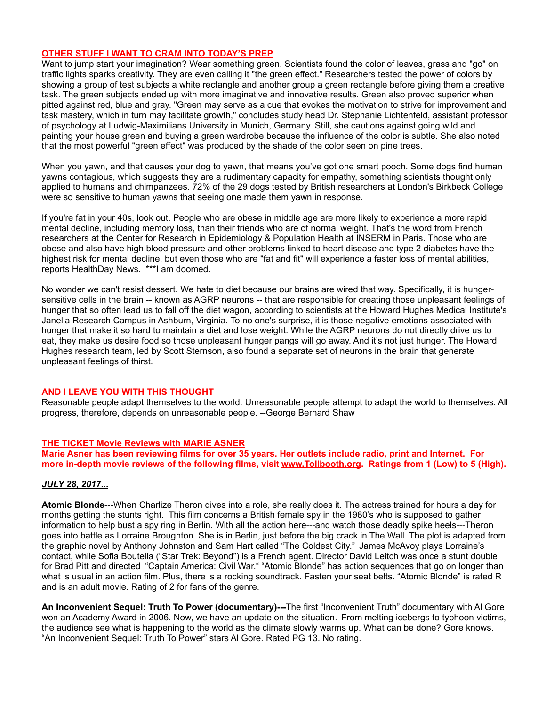# **OTHER STUFF I WANT TO CRAM INTO TODAY'S PREP**

Want to jump start your imagination? Wear something green. Scientists found the color of leaves, grass and "go" on traffic lights sparks creativity. They are even calling it "the green effect." Researchers tested the power of colors by showing a group of test subjects a white rectangle and another group a green rectangle before giving them a creative task. The green subjects ended up with more imaginative and innovative results. Green also proved superior when pitted against red, blue and gray. "Green may serve as a cue that evokes the motivation to strive for improvement and task mastery, which in turn may facilitate growth," concludes study head Dr. Stephanie Lichtenfeld, assistant professor of psychology at Ludwig-Maximilians University in Munich, Germany. Still, she cautions against going wild and painting your house green and buying a green wardrobe because the influence of the color is subtle. She also noted that the most powerful "green effect" was produced by the shade of the color seen on pine trees.

When you yawn, and that causes your dog to yawn, that means you've got one smart pooch. Some dogs find human yawns contagious, which suggests they are a rudimentary capacity for empathy, something scientists thought only applied to humans and chimpanzees. 72% of the 29 dogs tested by British researchers at London's Birkbeck College were so sensitive to human yawns that seeing one made them yawn in response.

If you're fat in your 40s, look out. People who are obese in middle age are more likely to experience a more rapid mental decline, including memory loss, than their friends who are of normal weight. That's the word from French researchers at the Center for Research in Epidemiology & Population Health at INSERM in Paris. Those who are obese and also have high blood pressure and other problems linked to heart disease and type 2 diabetes have the highest risk for mental decline, but even those who are "fat and fit" will experience a faster loss of mental abilities, reports HealthDay News. \*\*\*I am doomed.

No wonder we can't resist dessert. We hate to diet because our brains are wired that way. Specifically, it is hungersensitive cells in the brain -- known as AGRP neurons -- that are responsible for creating those unpleasant feelings of hunger that so often lead us to fall off the diet wagon, according to scientists at the Howard Hughes Medical Institute's Janelia Research Campus in Ashburn, Virginia. To no one's surprise, it is those negative emotions associated with hunger that make it so hard to maintain a diet and lose weight. While the AGRP neurons do not directly drive us to eat, they make us desire food so those unpleasant hunger pangs will go away. And it's not just hunger. The Howard Hughes research team, led by Scott Sternson, also found a separate set of neurons in the brain that generate unpleasant feelings of thirst.

# **AND I LEAVE YOU WITH THIS THOUGHT**

Reasonable people adapt themselves to the world. Unreasonable people attempt to adapt the world to themselves. All progress, therefore, depends on unreasonable people. --George Bernard Shaw

# **THE TICKET Movie Reviews with MARIE ASNER**

**Marie Asner has been reviewing films for over 35 years. Her outlets include radio, print and Internet. For more in-depth movie reviews of the following films, visit [www.Tollbooth.org.](http://www.tollbooth.org/index.php/home/movie-reviews) Ratings from 1 (Low) to 5 (High).**

# *JULY 28, 2017...*

**Atomic Blonde**---When Charlize Theron dives into a role, she really does it. The actress trained for hours a day for months getting the stunts right. This film concerns a British female spy in the 1980's who is supposed to gather information to help bust a spy ring in Berlin. With all the action here---and watch those deadly spike heels---Theron goes into battle as Lorraine Broughton. She is in Berlin, just before the big crack in The Wall. The plot is adapted from the graphic novel by Anthony Johnston and Sam Hart called "The Coldest City." James McAvoy plays Lorraine's contact, while Sofia Boutella ("Star Trek: Beyond") is a French agent. Director David Leitch was once a stunt double for Brad Pitt and directed "Captain America: Civil War." "Atomic Blonde" has action sequences that go on longer than what is usual in an action film. Plus, there is a rocking soundtrack. Fasten your seat belts. "Atomic Blonde" is rated R and is an adult movie. Rating of 2 for fans of the genre.

**An Inconvenient Sequel: Truth To Power (documentary)---**The first "Inconvenient Truth" documentary with Al Gore won an Academy Award in 2006. Now, we have an update on the situation. From melting icebergs to typhoon victims, the audience see what is happening to the world as the climate slowly warms up. What can be done? Gore knows. "An Inconvenient Sequel: Truth To Power" stars Al Gore. Rated PG 13. No rating.